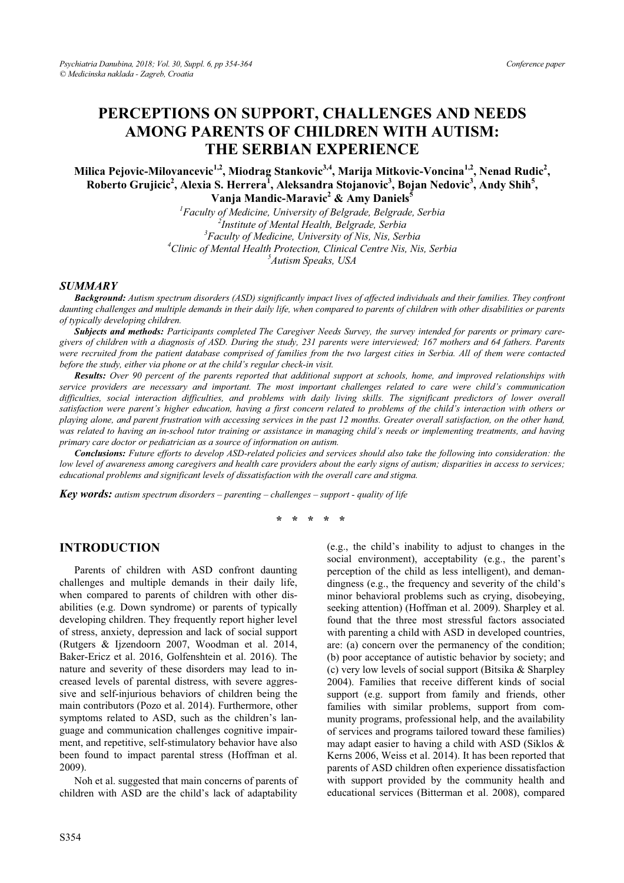# **PERCEPTIONS ON SUPPORT, CHALLENGES AND NEEDS AMONG PARENTS OF CHILDREN WITH AUTISM: THE SERBIAN EXPERIENCE**

Milica Pejovic-Milovancevic<sup>1,2</sup>, Miodrag Stankovic<sup>3,4</sup>, Marija Mitkovic-Voncina<sup>1,2</sup>, Nenad Rudic<sup>2</sup>, **Roberto Grujicic2 , Alexia S. Herrera<sup>1</sup> , Aleksandra Stojanovic3 , Bojan Nedovic3 , Andy Shih<sup>5</sup> , Vanja Mandic-Maravic2 & Amy Daniels<sup>5</sup>**

> <sup>1</sup> Faculty of Medicine, University of Belgrade, Belgrade, Serbia <sup>2</sup><br><sup>2</sup> Institute of Montal Haalth, Belguade, Serbia *Institute of Mental Health, Belgrade, Serbia 3 Faculty of Medicine, University of Nis, Nis, Serbia 4* <sup>4</sup> Clinic of Mental Health Protection, Clinical Centre Nis, Nis, Serbia *Autism Speaks, USA*

#### *SUMMARY*

*Background: Autism spectrum disorders (ASD) significantly impact lives of affected individuals and their families. They confront daunting challenges and multiple demands in their daily life, when compared to parents of children with other disabilities or parents of typically developing children.* 

*Subjects and methods: Participants completed The Caregiver Needs Survey, the survey intended for parents or primary caregivers of children with a diagnosis of ASD. During the study, 231 parents were interviewed; 167 mothers and 64 fathers. Parents were recruited from the patient database comprised of families from the two largest cities in Serbia. All of them were contacted before the study, either via phone or at the child's regular check-in visit.* 

*Results: Over 90 percent of the parents reported that additional support at schools, home, and improved relationships with service providers are necessary and important. The most important challenges related to care were child's communication difficulties, social interaction difficulties, and problems with daily living skills. The significant predictors of lower overall satisfaction were parent's higher education, having a first concern related to problems of the child's interaction with others or playing alone, and parent frustration with accessing services in the past 12 months. Greater overall satisfaction, on the other hand, was related to having an in-school tutor training or assistance in managing child's needs or implementing treatments, and having primary care doctor or pediatrician as a source of information on autism.* 

*Conclusions: Future efforts to develop ASD-related policies and services should also take the following into consideration: the low level of awareness among caregivers and health care providers about the early signs of autism; disparities in access to services; educational problems and significant levels of dissatisfaction with the overall care and stigma.* 

*Key words: autism spectrum disorders – parenting – challenges – support - quality of life* 

**\* \* \* \* \*** 

#### **INTRODUCTION**

Parents of children with ASD confront daunting challenges and multiple demands in their daily life, when compared to parents of children with other disabilities (e.g. Down syndrome) or parents of typically developing children. They frequently report higher level of stress, anxiety, depression and lack of social support (Rutgers & Ijzendoorn 2007, Woodman et al. 2014, Baker-Ericz et al. 2016, Golfenshtein et al. 2016). The nature and severity of these disorders may lead to increased levels of parental distress, with severe aggressive and self-injurious behaviors of children being the main contributors (Pozo et al. 2014). Furthermore, other symptoms related to ASD, such as the children's language and communication challenges cognitive impairment, and repetitive, self-stimulatory behavior have also been found to impact parental stress (Hoffman et al. 2009).

Noh et al. suggested that main concerns of parents of children with ASD are the child's lack of adaptability

(e.g., the child's inability to adjust to changes in the social environment), acceptability (e.g., the parent's perception of the child as less intelligent), and demandingness (e.g., the frequency and severity of the child's minor behavioral problems such as crying, disobeying, seeking attention) (Hoffman et al. 2009). Sharpley et al. found that the three most stressful factors associated with parenting a child with ASD in developed countries, are: (a) concern over the permanency of the condition; (b) poor acceptance of autistic behavior by society; and (c) very low levels of social support (Bitsika & Sharpley 2004). Families that receive different kinds of social support (e.g. support from family and friends, other families with similar problems, support from community programs, professional help, and the availability of services and programs tailored toward these families) may adapt easier to having a child with ASD (Siklos & Kerns 2006, Weiss et al. 2014). It has been reported that parents of ASD children often experience dissatisfaction with support provided by the community health and educational services (Bitterman et al. 2008), compared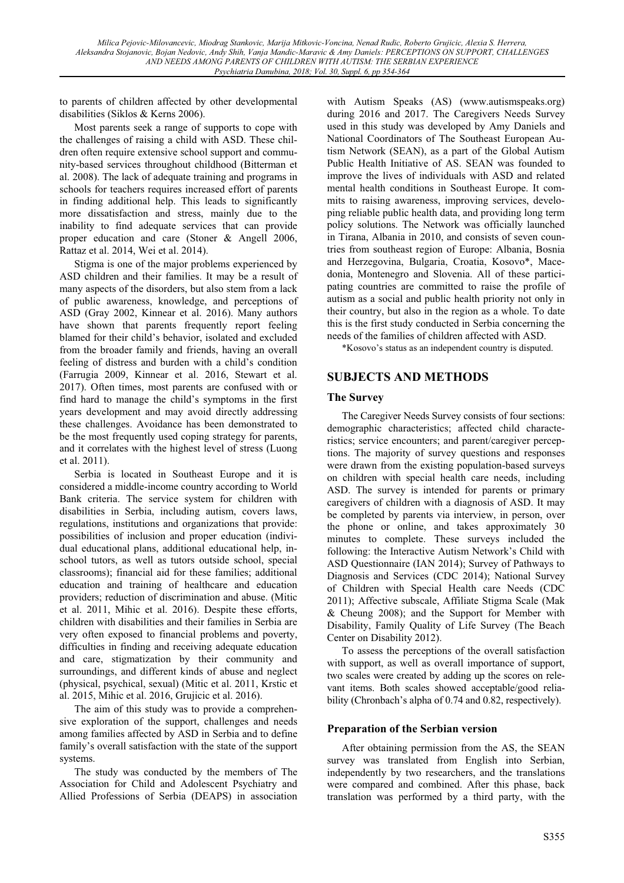to parents of children affected by other developmental disabilities (Siklos & Kerns 2006).

Most parents seek a range of supports to cope with the challenges of raising a child with ASD. These children often require extensive school support and community-based services throughout childhood (Bitterman et al. 2008). The lack of adequate training and programs in schools for teachers requires increased effort of parents in finding additional help. This leads to significantly more dissatisfaction and stress, mainly due to the inability to find adequate services that can provide proper education and care (Stoner & Angell 2006, Rattaz et al. 2014, Wei et al. 2014).

Stigma is one of the major problems experienced by ASD children and their families. It may be a result of many aspects of the disorders, but also stem from a lack of public awareness, knowledge, and perceptions of ASD (Gray 2002, Kinnear et al. 2016). Many authors have shown that parents frequently report feeling blamed for their child's behavior, isolated and excluded from the broader family and friends, having an overall feeling of distress and burden with a child's condition (Farrugia 2009, Kinnear et al. 2016, Stewart et al. 2017). Often times, most parents are confused with or find hard to manage the child's symptoms in the first years development and may avoid directly addressing these challenges. Avoidance has been demonstrated to be the most frequently used coping strategy for parents, and it correlates with the highest level of stress (Luong et al. 2011).

Serbia is located in Southeast Europe and it is considered a middle-income country according to World Bank criteria. The service system for children with disabilities in Serbia, including autism, covers laws, regulations, institutions and organizations that provide: possibilities of inclusion and proper education (individual educational plans, additional educational help, inschool tutors, as well as tutors outside school, special classrooms); financial aid for these families; additional education and training of healthcare and education providers; reduction of discrimination and abuse. (Mitic et al. 2011, Mihic et al. 2016). Despite these efforts, children with disabilities and their families in Serbia are very often exposed to financial problems and poverty, difficulties in finding and receiving adequate education and care, stigmatization by their community and surroundings, and different kinds of abuse and neglect (physical, psychical, sexual) (Mitic et al. 2011, Krstic et al. 2015, Mihic et al. 2016, Grujicic et al. 2016).

The aim of this study was to provide a comprehensive exploration of the support, challenges and needs among families affected by ASD in Serbia and to define family's overall satisfaction with the state of the support systems.

The study was conducted by the members of The Association for Child and Adolescent Psychiatry and Allied Professions of Serbia (DEAPS) in association

with Autism Speaks (AS) (www.autismspeaks.org) during 2016 and 2017. The Caregivers Needs Survey used in this study was developed by Amy Daniels and National Coordinators of The Southeast European Autism Network (SEAN), as a part of the Global Autism Public Health Initiative of AS. SEAN was founded to improve the lives of individuals with ASD and related mental health conditions in Southeast Europe. It commits to raising awareness, improving services, developing reliable public health data, and providing long term policy solutions. The Network was officially launched in Tirana, Albania in 2010, and consists of seven countries from southeast region of Europe: Albania, Bosnia and Herzegovina, Bulgaria, Croatia, Kosovo\*, Macedonia, Montenegro and Slovenia. All of these participating countries are committed to raise the profile of autism as a social and public health priority not only in their country, but also in the region as a whole. To date this is the first study conducted in Serbia concerning the needs of the families of children affected with ASD.

\*Kosovo's status as an independent country is disputed.

## **SUBJECTS AND METHODS**

## **The Survey**

The Caregiver Needs Survey consists of four sections: demographic characteristics; affected child characteristics; service encounters; and parent/caregiver perceptions. The majority of survey questions and responses were drawn from the existing population-based surveys on children with special health care needs, including ASD. The survey is intended for parents or primary caregivers of children with a diagnosis of ASD. It may be completed by parents via interview, in person, over the phone or online, and takes approximately 30 minutes to complete. These surveys included the following: the Interactive Autism Network's Child with ASD Questionnaire (IAN 2014); Survey of Pathways to Diagnosis and Services (CDC 2014); National Survey of Children with Special Health care Needs (CDC 2011); Affective subscale, Affiliate Stigma Scale (Mak & Cheung 2008); and the Support for Member with Disability, Family Quality of Life Survey (The Beach Center on Disability 2012).

To assess the perceptions of the overall satisfaction with support, as well as overall importance of support, two scales were created by adding up the scores on relevant items. Both scales showed acceptable/good reliability (Chronbach's alpha of 0.74 and 0.82, respectively).

## **Preparation of the Serbian version**

After obtaining permission from the AS, the SEAN survey was translated from English into Serbian, independently by two researchers, and the translations were compared and combined. After this phase, back translation was performed by a third party, with the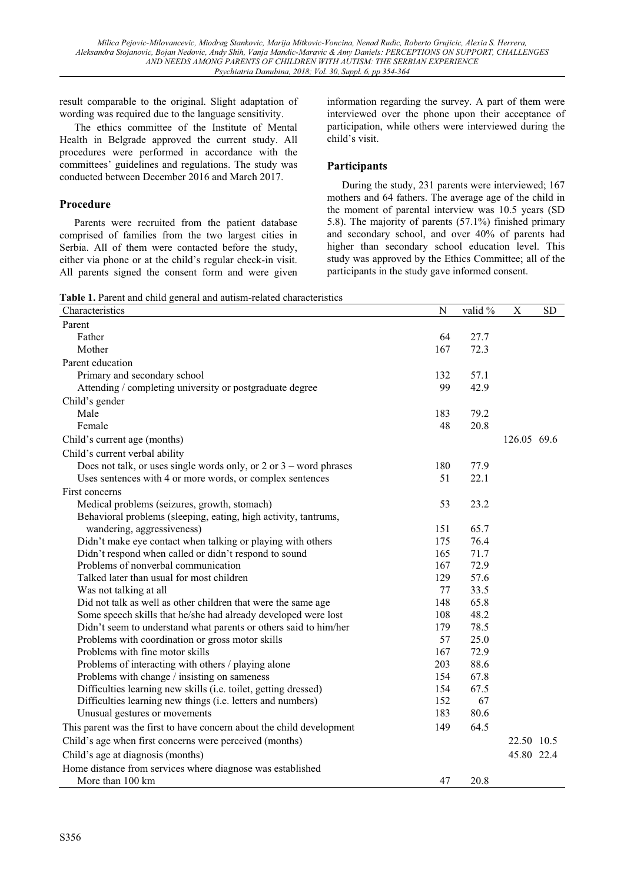result comparable to the original. Slight adaptation of wording was required due to the language sensitivity.

The ethics committee of the Institute of Mental Health in Belgrade approved the current study. All procedures were performed in accordance with the committees' guidelines and regulations. The study was conducted between December 2016 and March 2017.

## **Procedure**

Parents were recruited from the patient database comprised of families from the two largest cities in Serbia. All of them were contacted before the study, either via phone or at the child's regular check-in visit. All parents signed the consent form and were given information regarding the survey. A part of them were interviewed over the phone upon their acceptance of participation, while others were interviewed during the child's visit.

## **Participants**

During the study, 231 parents were interviewed; 167 mothers and 64 fathers. The average age of the child in the moment of parental interview was 10.5 years (SD 5.8). The majority of parents (57.1%) finished primary and secondary school, and over 40% of parents had higher than secondary school education level. This study was approved by the Ethics Committee; all of the participants in the study gave informed consent.

**Table 1.** Parent and child general and autism-related characteristics

| Characteristics                                                        | $\overline{N}$ | valid % | $\mathbf X$ | <b>SD</b> |
|------------------------------------------------------------------------|----------------|---------|-------------|-----------|
| Parent                                                                 |                |         |             |           |
| Father                                                                 | 64             | 27.7    |             |           |
| Mother                                                                 | 167            | 72.3    |             |           |
| Parent education                                                       |                |         |             |           |
| Primary and secondary school                                           | 132            | 57.1    |             |           |
| Attending / completing university or postgraduate degree               | 99             | 42.9    |             |           |
| Child's gender                                                         |                |         |             |           |
| Male                                                                   | 183            | 79.2    |             |           |
| Female                                                                 | 48             | 20.8    |             |           |
| Child's current age (months)                                           |                |         | 126.05 69.6 |           |
| Child's current verbal ability                                         |                |         |             |           |
| Does not talk, or uses single words only, or $2$ or $3$ – word phrases | 180            | 77.9    |             |           |
| Uses sentences with 4 or more words, or complex sentences              | 51             | 22.1    |             |           |
| First concerns                                                         |                |         |             |           |
| Medical problems (seizures, growth, stomach)                           | 53             | 23.2    |             |           |
| Behavioral problems (sleeping, eating, high activity, tantrums,        |                |         |             |           |
| wandering, aggressiveness)                                             | 151            | 65.7    |             |           |
| Didn't make eye contact when talking or playing with others            | 175            | 76.4    |             |           |
| Didn't respond when called or didn't respond to sound                  | 165            | 71.7    |             |           |
| Problems of nonverbal communication                                    | 167            | 72.9    |             |           |
| Talked later than usual for most children                              | 129            | 57.6    |             |           |
| Was not talking at all                                                 | 77             | 33.5    |             |           |
| Did not talk as well as other children that were the same age          | 148            | 65.8    |             |           |
| Some speech skills that he/she had already developed were lost         | 108            | 48.2    |             |           |
| Didn't seem to understand what parents or others said to him/her       | 179            | 78.5    |             |           |
| Problems with coordination or gross motor skills                       | 57             | 25.0    |             |           |
| Problems with fine motor skills                                        | 167            | 72.9    |             |           |
| Problems of interacting with others / playing alone                    | 203            | 88.6    |             |           |
| Problems with change / insisting on sameness                           | 154            | 67.8    |             |           |
| Difficulties learning new skills (i.e. toilet, getting dressed)        | 154            | 67.5    |             |           |
| Difficulties learning new things (i.e. letters and numbers)            | 152            | 67      |             |           |
| Unusual gestures or movements                                          | 183            | 80.6    |             |           |
| This parent was the first to have concern about the child development  | 149            | 64.5    |             |           |
| Child's age when first concerns were perceived (months)                |                |         | 22.50 10.5  |           |
| Child's age at diagnosis (months)                                      |                |         | 45.80 22.4  |           |
| Home distance from services where diagnose was established             |                |         |             |           |
| More than 100 km                                                       | 47             | 20.8    |             |           |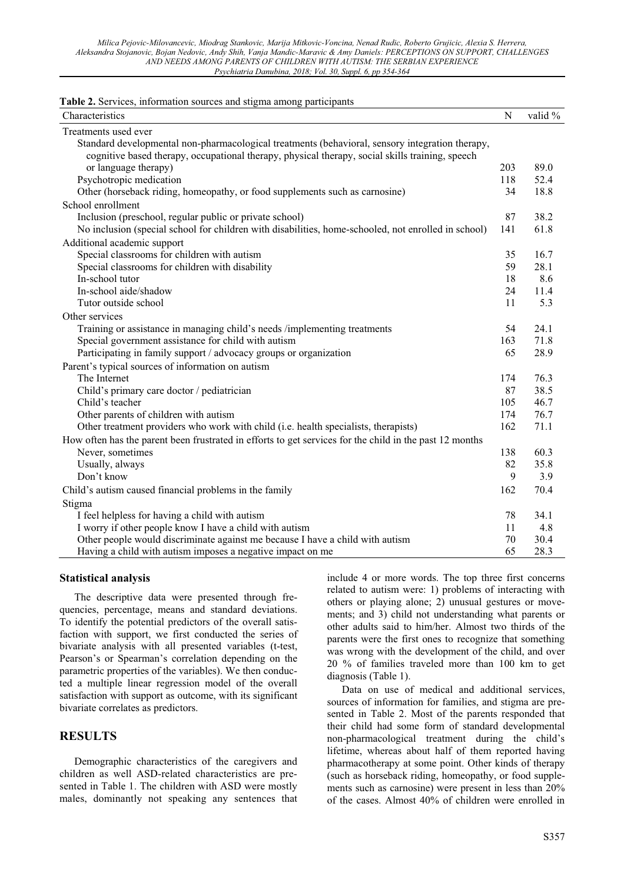|  |  |  |  |  | Table 2. Services, information sources and stigma among participants |
|--|--|--|--|--|----------------------------------------------------------------------|
|  |  |  |  |  |                                                                      |

| Characteristics                                                                                         | N   | valid % |
|---------------------------------------------------------------------------------------------------------|-----|---------|
| Treatments used ever                                                                                    |     |         |
| Standard developmental non-pharmacological treatments (behavioral, sensory integration therapy,         |     |         |
| cognitive based therapy, occupational therapy, physical therapy, social skills training, speech         |     |         |
| or language therapy)                                                                                    | 203 | 89.0    |
| Psychotropic medication                                                                                 | 118 | 52.4    |
| Other (horseback riding, homeopathy, or food supplements such as carnosine)                             | 34  | 18.8    |
| School enrollment                                                                                       |     |         |
| Inclusion (preschool, regular public or private school)                                                 | 87  | 38.2    |
| No inclusion (special school for children with disabilities, home-schooled, not enrolled in school)     | 141 | 61.8    |
| Additional academic support                                                                             |     |         |
| Special classrooms for children with autism                                                             | 35  | 16.7    |
| Special classrooms for children with disability                                                         | 59  | 28.1    |
| In-school tutor                                                                                         | 18  | 8.6     |
| In-school aide/shadow                                                                                   | 24  | 11.4    |
| Tutor outside school                                                                                    | 11  | 5.3     |
| Other services                                                                                          |     |         |
| Training or assistance in managing child's needs /implementing treatments                               | 54  | 24.1    |
| Special government assistance for child with autism                                                     | 163 | 71.8    |
| Participating in family support / advocacy groups or organization                                       | 65  | 28.9    |
| Parent's typical sources of information on autism                                                       |     |         |
| The Internet                                                                                            | 174 | 76.3    |
| Child's primary care doctor / pediatrician                                                              | 87  | 38.5    |
| Child's teacher                                                                                         | 105 | 46.7    |
| Other parents of children with autism                                                                   | 174 | 76.7    |
| Other treatment providers who work with child (i.e. health specialists, therapists)                     | 162 | 71.1    |
| How often has the parent been frustrated in efforts to get services for the child in the past 12 months |     |         |
| Never, sometimes                                                                                        | 138 | 60.3    |
| Usually, always                                                                                         | 82  | 35.8    |
| Don't know                                                                                              | 9   | 3.9     |
| Child's autism caused financial problems in the family                                                  | 162 | 70.4    |
| Stigma                                                                                                  |     |         |
| I feel helpless for having a child with autism                                                          | 78  | 34.1    |
| I worry if other people know I have a child with autism                                                 | 11  | 4.8     |
| Other people would discriminate against me because I have a child with autism                           | 70  | 30.4    |
| Having a child with autism imposes a negative impact on me                                              | 65  | 28.3    |

#### **Statistical analysis**

The descriptive data were presented through frequencies, percentage, means and standard deviations. To identify the potential predictors of the overall satisfaction with support, we first conducted the series of bivariate analysis with all presented variables (t-test, Pearson's or Spearman's correlation depending on the parametric properties of the variables). We then conducted a multiple linear regression model of the overall satisfaction with support as outcome, with its significant bivariate correlates as predictors.

## **RESULTS**

Demographic characteristics of the caregivers and children as well ASD-related characteristics are presented in Table 1. The children with ASD were mostly males, dominantly not speaking any sentences that include 4 or more words. The top three first concerns related to autism were: 1) problems of interacting with others or playing alone; 2) unusual gestures or movements; and 3) child not understanding what parents or other adults said to him/her. Almost two thirds of the parents were the first ones to recognize that something was wrong with the development of the child, and over 20 % of families traveled more than 100 km to get diagnosis (Table 1).

Data on use of medical and additional services, sources of information for families, and stigma are presented in Table 2. Most of the parents responded that their child had some form of standard developmental non-pharmacological treatment during the child's lifetime, whereas about half of them reported having pharmacotherapy at some point. Other kinds of therapy (such as horseback riding, homeopathy, or food supplements such as carnosine) were present in less than 20% of the cases. Almost 40% of children were enrolled in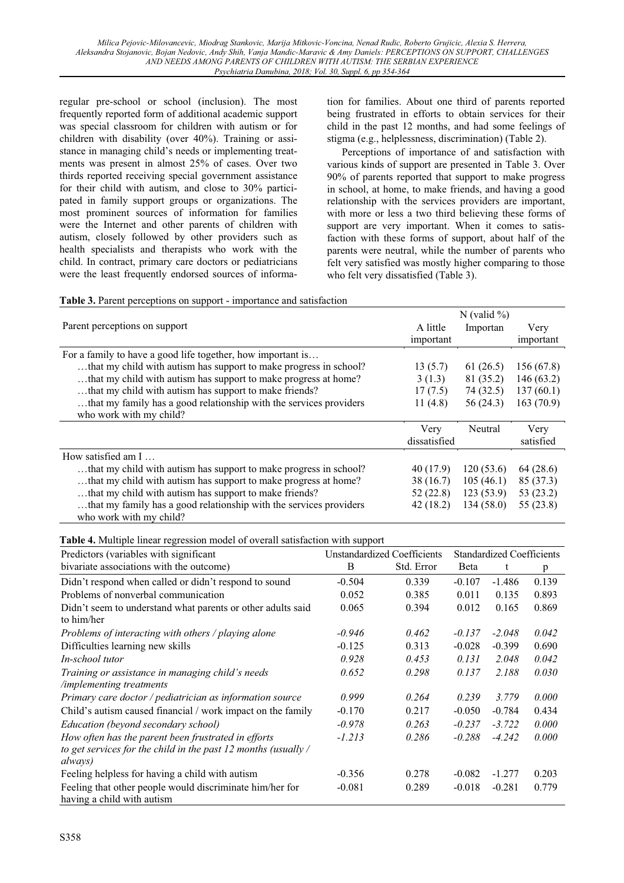regular pre-school or school (inclusion). The most frequently reported form of additional academic support was special classroom for children with autism or for children with disability (over 40%). Training or assistance in managing child's needs or implementing treatments was present in almost 25% of cases. Over two thirds reported receiving special government assistance for their child with autism, and close to 30% participated in family support groups or organizations. The most prominent sources of information for families were the Internet and other parents of children with autism, closely followed by other providers such as health specialists and therapists who work with the child. In contract, primary care doctors or pediatricians were the least frequently endorsed sources of information for families. About one third of parents reported being frustrated in efforts to obtain services for their child in the past 12 months, and had some feelings of stigma (e.g., helplessness, discrimination) (Table 2).

Perceptions of importance of and satisfaction with various kinds of support are presented in Table 3. Over 90% of parents reported that support to make progress in school, at home, to make friends, and having a good relationship with the services providers are important, with more or less a two third believing these forms of support are very important. When it comes to satisfaction with these forms of support, about half of the parents were neutral, while the number of parents who felt very satisfied was mostly higher comparing to those who felt very dissatisfied (Table 3).

|  |  | Table 3. Parent perceptions on support - importance and satisfaction |  |
|--|--|----------------------------------------------------------------------|--|
|--|--|----------------------------------------------------------------------|--|

|                                                                    |              | N (valid $\%$ ) |           |
|--------------------------------------------------------------------|--------------|-----------------|-----------|
| Parent perceptions on support                                      | A little     | Importan        | Very      |
|                                                                    | important    |                 | important |
| For a family to have a good life together, how important is        |              |                 |           |
| that my child with autism has support to make progress in school?  | 13(5.7)      | 61 $(26.5)$     | 156(67.8) |
| that my child with autism has support to make progress at home?    | 3(1.3)       | 81 (35.2)       | 146(63.2) |
| that my child with autism has support to make friends?             | 17(7.5)      | 74 (32.5)       | 137(60.1) |
| that my family has a good relationship with the services providers | 11 $(4.8)$   | 56 (24.3)       | 163(70.9) |
| who work with my child?                                            |              |                 |           |
|                                                                    | Very         | Neutral         | Very      |
|                                                                    | dissatisfied |                 | satisfied |
| How satisfied am $I_{\dots}$                                       |              |                 |           |
| that my child with autism has support to make progress in school?  | 40 (17.9)    | 120(53.6)       | 64 (28.6) |
| that my child with autism has support to make progress at home?    | 38 (16.7)    | 105(46.1)       | 85 (37.3) |
| that my child with autism has support to make friends?             | 52 (22.8)    | 123(53.9)       | 53 (23.2) |
| that my family has a good relationship with the services providers | 42 (18.2)    | 134(58.0)       | 55 (23.8) |
| who work with my child?                                            |              |                 |           |

**Table 4.** Multiple linear regression model of overall satisfaction with support

| Predictors (variables with significant                                                                                             | <b>Unstandardized Coefficients</b> |            | <b>Standardized Coefficients</b> |          |       |
|------------------------------------------------------------------------------------------------------------------------------------|------------------------------------|------------|----------------------------------|----------|-------|
| bivariate associations with the outcome)                                                                                           | B                                  | Std. Error | Beta                             | t        | p     |
| Didn't respond when called or didn't respond to sound                                                                              | $-0.504$                           | 0.339      | $-0.107$                         | $-1.486$ | 0.139 |
| Problems of nonverbal communication                                                                                                | 0.052                              | 0.385      | 0.011                            | 0.135    | 0.893 |
| Didn't seem to understand what parents or other adults said<br>to him/her                                                          | 0.065                              | 0.394      | 0.012                            | 0.165    | 0.869 |
| Problems of interacting with others / playing alone                                                                                | $-0.946$                           | 0.462      | $-0.137$                         | $-2.048$ | 0.042 |
| Difficulties learning new skills                                                                                                   | $-0.125$                           | 0.313      | $-0.028$                         | $-0.399$ | 0.690 |
| <i>In-school tutor</i>                                                                                                             | 0.928                              | 0.453      | 0.131                            | 2.048    | 0.042 |
| Training or assistance in managing child's needs<br>/implementing treatments                                                       | 0.652                              | 0.298      | 0.137                            | 2.188    | 0.030 |
| Primary care doctor / pediatrician as information source                                                                           | 0.999                              | 0.264      | 0.239                            | 3.779    | 0.000 |
| Child's autism caused financial / work impact on the family                                                                        | $-0.170$                           | 0.217      | $-0.050$                         | $-0.784$ | 0.434 |
| Education (beyond secondary school)                                                                                                | $-0.978$                           | 0.263      | $-0.237$                         | $-3.722$ | 0.000 |
| How often has the parent been frustrated in efforts<br>to get services for the child in the past 12 months (usually $/$<br>always) | $-1.213$                           | 0.286      | $-0.288$                         | $-4.242$ | 0.000 |
| Feeling helpless for having a child with autism                                                                                    | $-0.356$                           | 0.278      | $-0.082$                         | $-1.277$ | 0.203 |
| Feeling that other people would discriminate him/her for<br>having a child with autism                                             | $-0.081$                           | 0.289      | $-0.018$                         | $-0.281$ | 0.779 |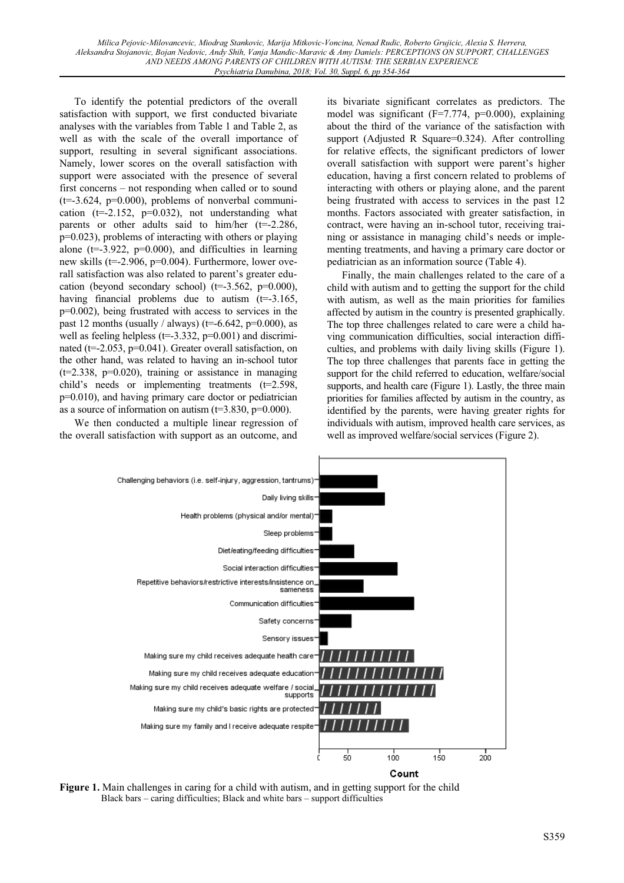To identify the potential predictors of the overall satisfaction with support, we first conducted bivariate analyses with the variables from Table 1 and Table 2, as well as with the scale of the overall importance of support, resulting in several significant associations. Namely, lower scores on the overall satisfaction with support were associated with the presence of several first concerns – not responding when called or to sound  $(t=3.624, p=0.000)$ , problems of nonverbal communication ( $t=2.152$ ,  $p=0.032$ ), not understanding what parents or other adults said to him/her  $(t=2.286,$ p=0.023), problems of interacting with others or playing alone ( $t=3.922$ ,  $p=0.000$ ), and difficulties in learning new skills (t=-2.906, p=0.004). Furthermore, lower overall satisfaction was also related to parent's greater education (beyond secondary school) ( $t=3.562$ ,  $p=0.000$ ), having financial problems due to autism  $(t=3.165,$ p=0.002), being frustrated with access to services in the past 12 months (usually / always) ( $t=6.642$ ,  $p=0.000$ ), as well as feeling helpless ( $t=3.332$ ,  $p=0.001$ ) and discriminated ( $t=2.053$ ,  $p=0.041$ ). Greater overall satisfaction, on the other hand, was related to having an in-school tutor  $(t=2.338, p=0.020)$ , training or assistance in managing child's needs or implementing treatments (t=2.598, p=0.010), and having primary care doctor or pediatrician as a source of information on autism  $(t=3.830, p=0.000)$ .

We then conducted a multiple linear regression of the overall satisfaction with support as an outcome, and its bivariate significant correlates as predictors. The model was significant  $(F=7.774, p=0.000)$ , explaining about the third of the variance of the satisfaction with support (Adjusted R Square=0.324). After controlling for relative effects, the significant predictors of lower overall satisfaction with support were parent's higher education, having a first concern related to problems of interacting with others or playing alone, and the parent being frustrated with access to services in the past 12 months. Factors associated with greater satisfaction, in contract, were having an in-school tutor, receiving training or assistance in managing child's needs or implementing treatments, and having a primary care doctor or pediatrician as an information source (Table 4).

Finally, the main challenges related to the care of a child with autism and to getting the support for the child with autism, as well as the main priorities for families affected by autism in the country is presented graphically. The top three challenges related to care were a child having communication difficulties, social interaction difficulties, and problems with daily living skills (Figure 1). The top three challenges that parents face in getting the support for the child referred to education, welfare/social supports, and health care (Figure 1). Lastly, the three main priorities for families affected by autism in the country, as identified by the parents, were having greater rights for individuals with autism, improved health care services, as well as improved welfare/social services (Figure 2).



**Figure 1.** Main challenges in caring for a child with autism, and in getting support for the child Black bars – caring difficulties; Black and white bars – support difficulties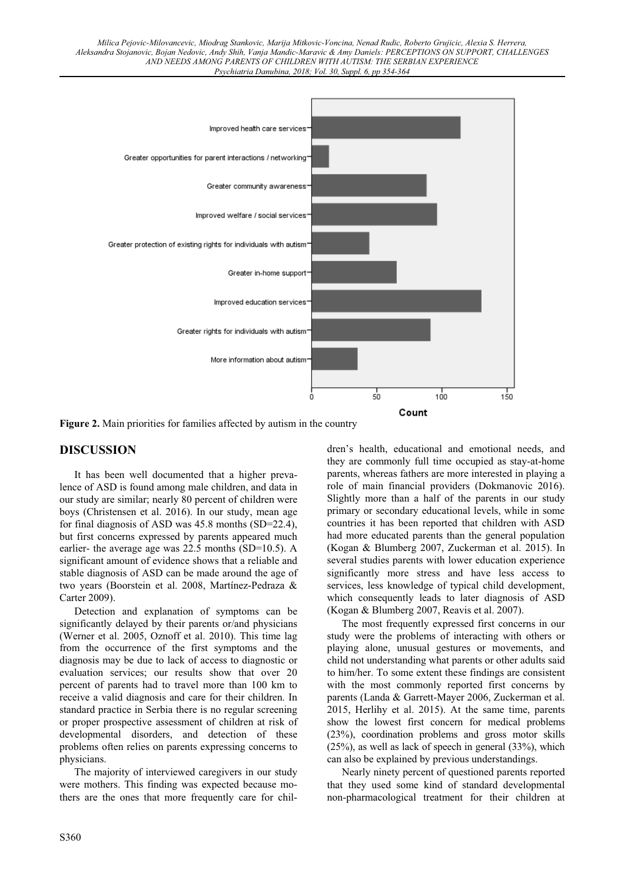

**Figure 2.** Main priorities for families affected by autism in the country

## **DISCUSSION**

It has been well documented that a higher prevalence of ASD is found among male children, and data in our study are similar; nearly 80 percent of children were boys (Christensen et al. 2016). In our study, mean age for final diagnosis of ASD was 45.8 months (SD=22.4), but first concerns expressed by parents appeared much earlier- the average age was 22.5 months (SD=10.5). A significant amount of evidence shows that a reliable and stable diagnosis of ASD can be made around the age of two years (Boorstein et al. 2008, Martínez-Pedraza & Carter 2009).

Detection and explanation of symptoms can be significantly delayed by their parents or/and physicians (Werner et al. 2005, Oznoff et al. 2010). This time lag from the occurrence of the first symptoms and the diagnosis may be due to lack of access to diagnostic or evaluation services; our results show that over 20 percent of parents had to travel more than 100 km to receive a valid diagnosis and care for their children. In standard practice in Serbia there is no regular screening or proper prospective assessment of children at risk of developmental disorders, and detection of these problems often relies on parents expressing concerns to physicians.

The majority of interviewed caregivers in our study were mothers. This finding was expected because mothers are the ones that more frequently care for children's health, educational and emotional needs, and they are commonly full time occupied as stay-at-home parents, whereas fathers are more interested in playing a role of main financial providers (Dokmanovic 2016). Slightly more than a half of the parents in our study primary or secondary educational levels, while in some countries it has been reported that children with ASD had more educated parents than the general population (Kogan & Blumberg 2007, Zuckerman et al. 2015). In several studies parents with lower education experience significantly more stress and have less access to services, less knowledge of typical child development, which consequently leads to later diagnosis of ASD (Kogan & Blumberg 2007, Reavis et al. 2007).

The most frequently expressed first concerns in our study were the problems of interacting with others or playing alone, unusual gestures or movements, and child not understanding what parents or other adults said to him/her. To some extent these findings are consistent with the most commonly reported first concerns by parents (Landa & Garrett-Mayer 2006, Zuckerman et al. 2015, Herlihy et al. 2015). At the same time, parents show the lowest first concern for medical problems (23%), coordination problems and gross motor skills (25%), as well as lack of speech in general (33%), which can also be explained by previous understandings.

Nearly ninety percent of questioned parents reported that they used some kind of standard developmental non-pharmacological treatment for their children at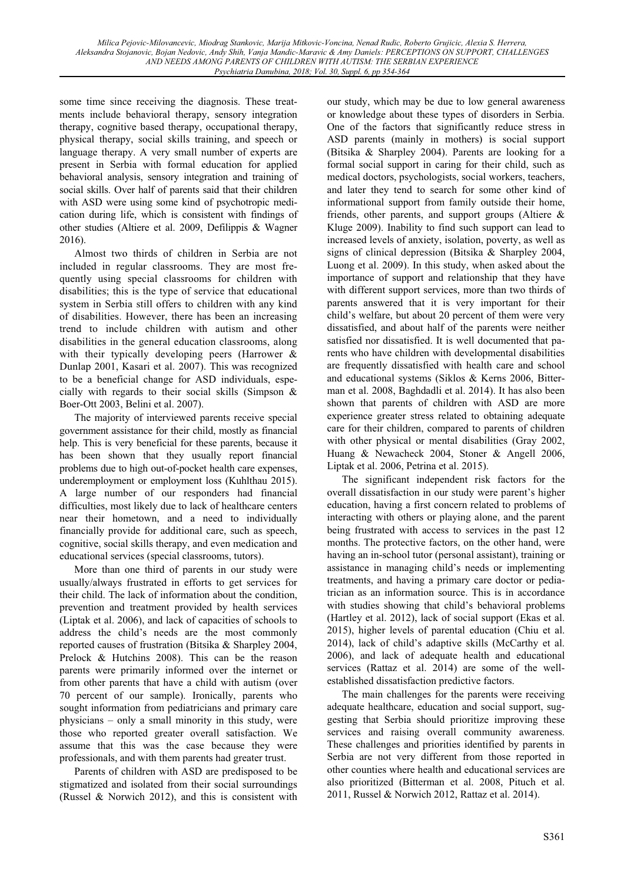some time since receiving the diagnosis. These treatments include behavioral therapy, sensory integration therapy, cognitive based therapy, occupational therapy, physical therapy, social skills training, and speech or language therapy. A very small number of experts are present in Serbia with formal education for applied behavioral analysis, sensory integration and training of social skills. Over half of parents said that their children with ASD were using some kind of psychotropic medication during life, which is consistent with findings of other studies (Altiere et al. 2009, Defilippis & Wagner 2016).

Almost two thirds of children in Serbia are not included in regular classrooms. They are most frequently using special classrooms for children with disabilities; this is the type of service that educational system in Serbia still offers to children with any kind of disabilities. However, there has been an increasing trend to include children with autism and other disabilities in the general education classrooms, along with their typically developing peers (Harrower & Dunlap 2001, Kasari et al. 2007). This was recognized to be a beneficial change for ASD individuals, especially with regards to their social skills (Simpson & Boer-Ott 2003, Belini et al. 2007).

The majority of interviewed parents receive special government assistance for their child, mostly as financial help. This is very beneficial for these parents, because it has been shown that they usually report financial problems due to high out-of-pocket health care expenses, underemployment or employment loss (Kuhlthau 2015). A large number of our responders had financial difficulties, most likely due to lack of healthcare centers near their hometown, and a need to individually financially provide for additional care, such as speech, cognitive, social skills therapy, and even medication and educational services (special classrooms, tutors).

More than one third of parents in our study were usually/always frustrated in efforts to get services for their child. The lack of information about the condition, prevention and treatment provided by health services (Liptak et al. 2006), and lack of capacities of schools to address the child's needs are the most commonly reported causes of frustration (Bitsika & Sharpley 2004, Prelock & Hutchins 2008). This can be the reason parents were primarily informed over the internet or from other parents that have a child with autism (over 70 percent of our sample). Ironically, parents who sought information from pediatricians and primary care physicians – only a small minority in this study, were those who reported greater overall satisfaction. We assume that this was the case because they were professionals, and with them parents had greater trust.

Parents of children with ASD are predisposed to be stigmatized and isolated from their social surroundings (Russel & Norwich 2012), and this is consistent with our study, which may be due to low general awareness or knowledge about these types of disorders in Serbia. One of the factors that significantly reduce stress in ASD parents (mainly in mothers) is social support (Bitsika & Sharpley 2004). Parents are looking for a formal social support in caring for their child, such as medical doctors, psychologists, social workers, teachers, and later they tend to search for some other kind of informational support from family outside their home, friends, other parents, and support groups (Altiere & Kluge 2009). Inability to find such support can lead to increased levels of anxiety, isolation, poverty, as well as signs of clinical depression (Bitsika & Sharpley 2004, Luong et al. 2009). In this study, when asked about the importance of support and relationship that they have with different support services, more than two thirds of parents answered that it is very important for their child's welfare, but about 20 percent of them were very dissatisfied, and about half of the parents were neither satisfied nor dissatisfied. It is well documented that parents who have children with developmental disabilities are frequently dissatisfied with health care and school and educational systems (Siklos & Kerns 2006, Bitterman et al. 2008, Baghdadli et al. 2014). It has also been shown that parents of children with ASD are more experience greater stress related to obtaining adequate care for their children, compared to parents of children with other physical or mental disabilities (Gray 2002, Huang & Newacheck 2004, Stoner & Angell 2006, Liptak et al. 2006, Petrina et al. 2015).

The significant independent risk factors for the overall dissatisfaction in our study were parent's higher education, having a first concern related to problems of interacting with others or playing alone, and the parent being frustrated with access to services in the past 12 months. The protective factors, on the other hand, were having an in-school tutor (personal assistant), training or assistance in managing child's needs or implementing treatments, and having a primary care doctor or pediatrician as an information source. This is in accordance with studies showing that child's behavioral problems (Hartley et al. 2012), lack of social support (Ekas et al. 2015), higher levels of parental education (Chiu et al. 2014), lack of child's adaptive skills (McCarthy et al. 2006), and lack of adequate health and educational services (Rattaz et al. 2014) are some of the wellestablished dissatisfaction predictive factors.

The main challenges for the parents were receiving adequate healthcare, education and social support, suggesting that Serbia should prioritize improving these services and raising overall community awareness. These challenges and priorities identified by parents in Serbia are not very different from those reported in other counties where health and educational services are also prioritized (Bitterman et al. 2008, Pituch et al. 2011, Russel & Norwich 2012, Rattaz et al. 2014).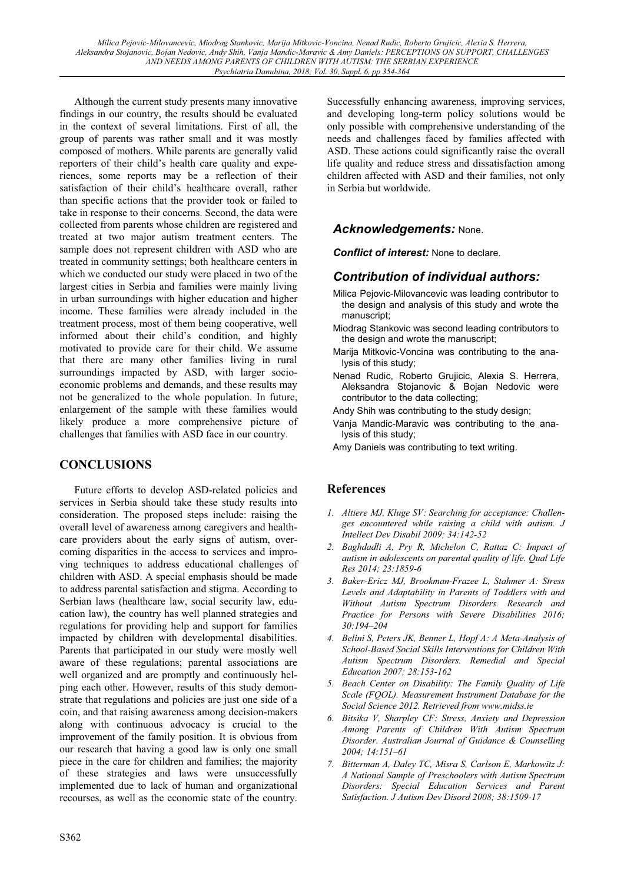Although the current study presents many innovative findings in our country, the results should be evaluated in the context of several limitations. First of all, the group of parents was rather small and it was mostly composed of mothers. While parents are generally valid reporters of their child's health care quality and experiences, some reports may be a reflection of their satisfaction of their child's healthcare overall, rather than specific actions that the provider took or failed to take in response to their concerns. Second, the data were collected from parents whose children are registered and treated at two major autism treatment centers. The sample does not represent children with ASD who are treated in community settings; both healthcare centers in which we conducted our study were placed in two of the largest cities in Serbia and families were mainly living in urban surroundings with higher education and higher income. These families were already included in the treatment process, most of them being cooperative, well informed about their child's condition, and highly motivated to provide care for their child. We assume that there are many other families living in rural surroundings impacted by ASD, with larger socioeconomic problems and demands, and these results may not be generalized to the whole population. In future, enlargement of the sample with these families would likely produce a more comprehensive picture of challenges that families with ASD face in our country.

## **CONCLUSIONS**

Future efforts to develop ASD-related policies and services in Serbia should take these study results into consideration. The proposed steps include: raising the overall level of awareness among caregivers and healthcare providers about the early signs of autism, overcoming disparities in the access to services and improving techniques to address educational challenges of children with ASD. A special emphasis should be made to address parental satisfaction and stigma. According to Serbian laws (healthcare law, social security law, education law), the country has well planned strategies and regulations for providing help and support for families impacted by children with developmental disabilities. Parents that participated in our study were mostly well aware of these regulations; parental associations are well organized and are promptly and continuously helping each other. However, results of this study demonstrate that regulations and policies are just one side of a coin, and that raising awareness among decision-makers along with continuous advocacy is crucial to the improvement of the family position. It is obvious from our research that having a good law is only one small piece in the care for children and families; the majority of these strategies and laws were unsuccessfully implemented due to lack of human and organizational recourses, as well as the economic state of the country.

Successfully enhancing awareness, improving services, and developing long-term policy solutions would be only possible with comprehensive understanding of the needs and challenges faced by families affected with ASD. These actions could significantly raise the overall life quality and reduce stress and dissatisfaction among children affected with ASD and their families, not only in Serbia but worldwide.

## *Acknowledgements:* None.

*Conflict of interest:* None to declare.

## *Contribution of individual authors:*

- Milica Pejovic-Milovancevic was leading contributor to the design and analysis of this study and wrote the manuscript;
- Miodrag Stankovic was second leading contributors to the design and wrote the manuscript;
- Marija Mitkovic-Voncina was contributing to the analysis of this study;
- Nenad Rudic, Roberto Grujicic, Alexia S. Herrera, Aleksandra Stojanovic & Bojan Nedovic were contributor to the data collecting;
- Andy Shih was contributing to the study design;
- Vanja Mandic-Maravic was contributing to the analysis of this study;
- Amy Daniels was contributing to text writing.

## **References**

- *1. Altiere MJ, Kluge SV: Searching for acceptance: Challenges encountered while raising a child with autism. J Intellect Dev Disabil 2009; 34:142-52*
- *2. Baghdadli A, Pry R, Michelon C, Rattaz C: Impact of autism in adolescents on parental quality of life. Qual Life Res 2014; 23:1859-6*
- *3. Baker-Ericz MJ, Brookman-Frazee L, Stahmer A: Stress Levels and Adaptability in Parents of Toddlers with and Without Autism Spectrum Disorders. Research and Practice for Persons with Severe Disabilities 2016; 30:194–204*
- *4. Belini S, Peters JK, Benner L, Hopf A: A Meta-Analysis of School-Based Social Skills Interventions for Children With Autism Spectrum Disorders. Remedial and Special Education 2007; 28:153-162*
- *5. Beach Center on Disability: The Family Quality of Life Scale (FQOL). Measurement Instrument Database for the Social Science 2012. Retrieved from www.midss.ie*
- *6. Bitsika V, Sharpley CF: Stress, Anxiety and Depression Among Parents of Children With Autism Spectrum Disorder. Australian Journal of Guidance & Counselling 2004; 14:151–61*
- *7. Bitterman A, Daley TC, Misra S, Carlson E, Markowitz J: A National Sample of Preschoolers with Autism Spectrum Disorders: Special Education Services and Parent Satisfaction. J Autism Dev Disord 2008; 38:1509-17*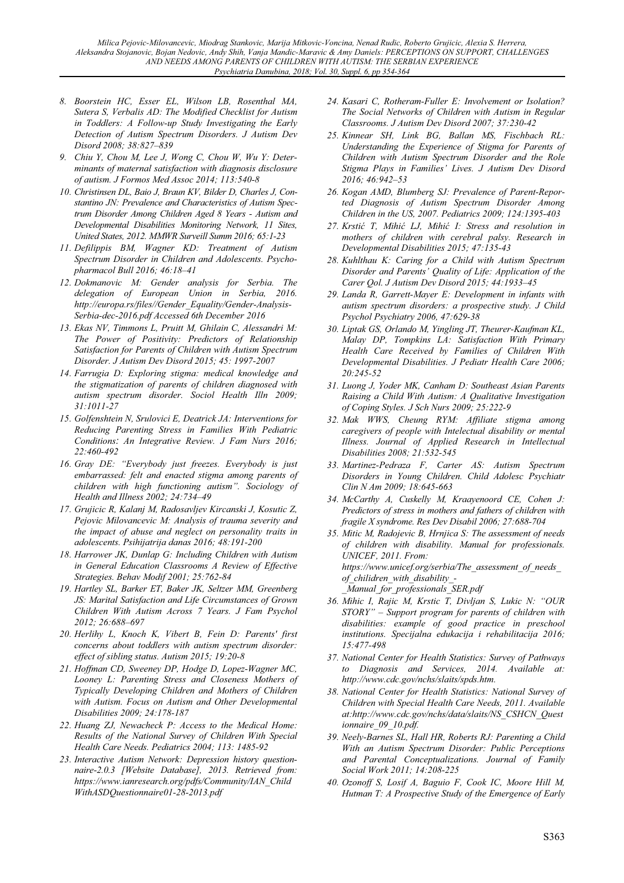- *8. Boorstein HC, Esser EL, Wilson LB, Rosenthal MA, Sutera S, Verbalis AD: The Modified Checklist for Autism in Toddlers: A Follow-up Study Investigating the Early Detection of Autism Spectrum Disorders. J Autism Dev Disord 2008; 38:827–839*
- *9. Chiu Y, Chou M, Lee J, Wong C, Chou W, Wu Y: Determinants of maternal satisfaction with diagnosis disclosure of autism. J Formos Med Assoc 2014; 113:540-8*
- *10. Christinsen DL, Baio J, Braun KV, Bilder D, Charles J, Constantino JN: Prevalence and Characteristics of Autism Spectrum Disorder Among Children Aged 8 Years - Autism and Developmental Disabilities Monitoring Network, 11 Sites, United States, 2012. MMWR Surveill Summ 2016; 65:1-23*
- *11. Defilippis BM, Wagner KD: Treatment of Autism Spectrum Disorder in Children and Adolescents. Psychopharmacol Bull 2016; 46:18–41*
- *12. Dokmanovic M: Gender analysis for Serbia. The delegation of European Union in Serbia, 2016. http://europa.rs/files//Gender\_Equality/Gender-Analysis-Serbia-dec-2016.pdf Accessed 6th December 2016*
- *13. Ekas NV, Timmons L, Pruitt M, Ghilain C, Alessandri M: The Power of Positivity: Predictors of Relationship Satisfaction for Parents of Children with Autism Spectrum Disorder. J Autism Dev Disord 2015; 45: 1997-2007*
- *14. Farrugia D: Exploring stigma: medical knowledge and the stigmatization of parents of children diagnosed with autism spectrum disorder. Sociol Health Illn 2009; 31:1011-27*
- *15. Golfenshtein N, Srulovici E, Deatrick JA: Interventions for Reducing Parenting Stress in Families With Pediatric Conditions: An Integrative Review. J Fam Nurs 2016; 22:460-492*
- *16. Gray DE: "Everybody just freezes. Everybody is just embarrassed: felt and enacted stigma among parents of children with high functioning autism". Sociology of Health and Illness 2002; 24:734–49*
- *17. Grujicic R, Kalanj M, Radosavljev Kircanski J, Kosutic Z, Pejovic Milovancevic M: Analysis of trauma severity and the impact of abuse and neglect on personality traits in adolescents. Psihijatrija danas 2016; 48:191-200*
- *18. Harrower JK, Dunlap G: Including Children with Autism in General Education Classrooms A Review of Effective Strategies. Behav Modif 2001; 25:762-84*
- *19. Hartley SL, Barker ET, Baker JK, Seltzer MM, Greenberg JS: Marital Satisfaction and Life Circumstances of Grown Children With Autism Across 7 Years. J Fam Psychol 2012; 26:688–697*
- *20. Herlihy L, Knoch K, Vibert B, Fein D: Parents' first concerns about toddlers with autism spectrum disorder: effect of sibling status. Autism 2015; 19:20-8*
- *21. Hoffman CD, Sweeney DP, Hodge D, Lopez-Wagner MC, Looney L: Parenting Stress and Closeness Mothers of Typically Developing Children and Mothers of Children with Autism. Focus on Autism and Other Developmental Disabilities 2009; 24:178-187*
- *22. Huang ZJ, Newacheck P: Access to the Medical Home: Results of the National Survey of Children With Special Health Care Needs. Pediatrics 2004; 113: 1485-92*
- *23. Interactive Autism Network: Depression history questionnaire-2.0.3 [Website Database], 2013. Retrieved from: https://www.ianresearch.org/pdfs/Community/IAN\_Child WithASDQuestionnaire01-28-2013.pdf*
- *24. Kasari C, Rotheram-Fuller E: Involvement or Isolation? The Social Networks of Children with Autism in Regular Classrooms. J Autism Dev Disord 2007; 37:230-42*
- *25. Kinnear SH, Link BG, Ballan MS, Fischbach RL: Understanding the Experience of Stigma for Parents of Children with Autism Spectrum Disorder and the Role Stigma Plays in Families' Lives. J Autism Dev Disord 2016; 46:942–53*
- *26. Kogan AMD, Blumberg SJ: Prevalence of Parent-Reported Diagnosis of Autism Spectrum Disorder Among Children in the US, 2007. Pediatrics 2009; 124:1395-403*
- *27. Krstiü T, Mihiü LJ, Mihiü I: Stress and resolution in mothers of children with cerebral palsy. Research in Developmental Disabilities 2015; 47:135-43*
- *28. Kuhlthau K: Caring for a Child with Autism Spectrum Disorder and Parents' Quality of Life: Application of the Carer Qol. J Autism Dev Disord 2015; 44:1933–45*
- *29. Landa R, Garrett-Mayer E: Development in infants with autism spectrum disorders: a prospective study. J Child Psychol Psychiatry 2006, 47:629-38*
- *30. Liptak GS, Orlando M, Yingling JT, Theurer-Kaufman KL, Malay DP, Tompkins LA: Satisfaction With Primary Health Care Received by Families of Children With Developmental Disabilities. J Pediatr Health Care 2006; 20:245-52*
- *31. Luong J, Yoder MK, Canham D: Southeast Asian Parents Raising a Child With Autism: A Qualitative Investigation of Coping Styles. J Sch Nurs 2009; 25:222-9*
- *32. Mak WWS, Cheung RYM: Affiliate stigma among caregivers of people with Intelectual disability or mental Illness. Journal of Applied Research in Intellectual Disabilities 2008; 21:532-545*
- *33. Martinez-Pedraza F, Carter AS: Autism Spectrum Disorders in Young Children. Child Adolesc Psychiatr Clin N Am 2009; 18:645-663*
- *34. McCarthy A, Cuskelly M, Kraayenoord CE, Cohen J: Predictors of stress in mothers and fathers of children with fragile X syndrome. Res Dev Disabil 2006; 27:688-704*
- *35. Mitic M, Radojevic B, Hrnjica S: The assessment of needs of children with disability. Manual for professionals. UNICEF, 2011. From: https://www.unicef.org/serbia/The\_assessment\_of\_needs\_ of\_chilidren\_with\_disability\_- \_Manual\_for\_professionals\_SER.pdf*
- *36. Mihic I, Rajic M, Krstic T, Divljan S, Lukic N: "OUR STORY" – Support program for parents of children with disabilities: example of good practice in preschool institutions. Specijalna edukacija i rehabilitacija 2016; 15:477-498*
- *37. National Center for Health Statistics: Survey of Pathways to Diagnosis and Services, 2014. Available at: http://www.cdc.gov/nchs/slaits/spds.htm.*
- *38. National Center for Health Statistics: National Survey of Children with Special Health Care Needs, 2011. Available at:http://www.cdc.gov/nchs/data/slaits/NS\_CSHCN\_Quest ionnaire\_09\_10.pdf.*
- *39. Neely-Barnes SL, Hall HR, Roberts RJ: Parenting a Child With an Autism Spectrum Disorder: Public Perceptions and Parental Conceptualizations. Journal of Family Social Work 2011; 14:208-225*
- *40. Ozonoff S, Losif A, Baguio F, Cook IC, Moore Hill M, Hutman T: A Prospective Study of the Emergence of Early*